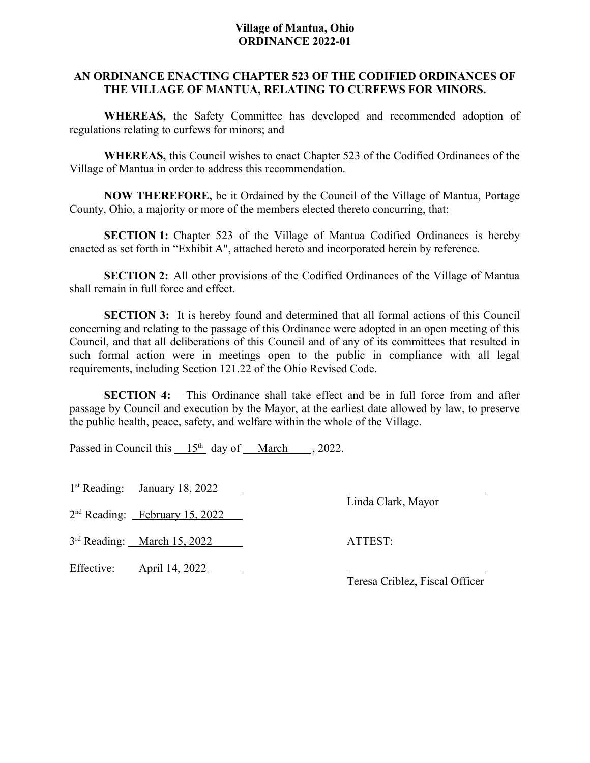#### **Village of Mantua, Ohio ORDINANCE 2022-01**

### **AN ORDINANCE ENACTING CHAPTER 523 OF THE CODIFIED ORDINANCES OF THE VILLAGE OF MANTUA, RELATING TO CURFEWS FOR MINORS.**

**WHEREAS,** the Safety Committee has developed and recommended adoption of regulations relating to curfews for minors; and

**WHEREAS,** this Council wishes to enact Chapter 523 of the Codified Ordinances of the Village of Mantua in order to address this recommendation.

**NOW THEREFORE,** be it Ordained by the Council of the Village of Mantua, Portage County, Ohio, a majority or more of the members elected thereto concurring, that:

**SECTION 1:** Chapter 523 of the Village of Mantua Codified Ordinances is hereby enacted as set forth in "Exhibit A", attached hereto and incorporated herein by reference.

**SECTION 2:** All other provisions of the Codified Ordinances of the Village of Mantua shall remain in full force and effect.

**SECTION 3:** It is hereby found and determined that all formal actions of this Council concerning and relating to the passage of this Ordinance were adopted in an open meeting of this Council, and that all deliberations of this Council and of any of its committees that resulted in such formal action were in meetings open to the public in compliance with all legal requirements, including Section 121.22 of the Ohio Revised Code.

**SECTION 4:** This Ordinance shall take effect and be in full force from and after passage by Council and execution by the Mayor, at the earliest date allowed by law, to preserve the public health, peace, safety, and welfare within the whole of the Village.

Passed in Council this  $15<sup>th</sup>$  day of March , 2022.

1<sup>st</sup> Reading: <u>January 18, 2022</u>

2<sup>nd</sup> Reading: February 15, 2022

3<sup>rd</sup> Reading: <u>March 15, 2022</u> ATTEST:

Effective: April 14, 2022

Linda Clark, Mayor

Teresa Criblez, Fiscal Officer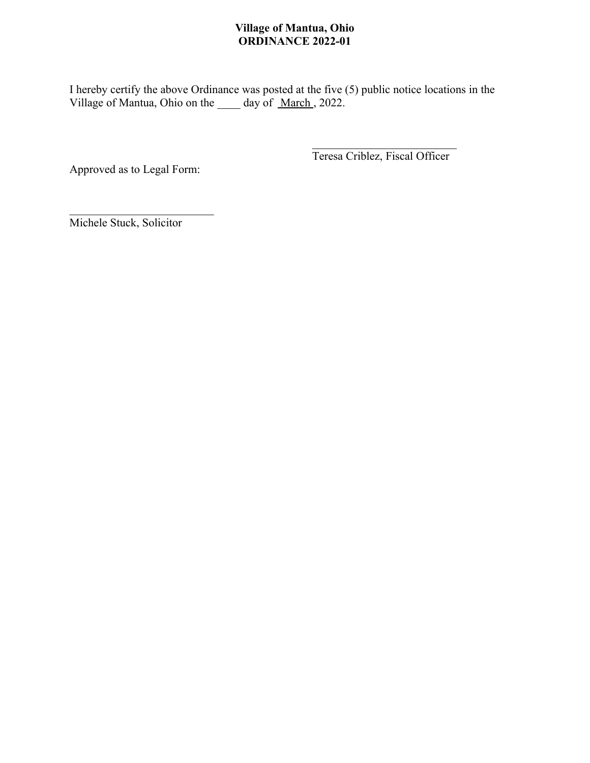# **Village of Mantua, Ohio ORDINANCE 2022-01**

I hereby certify the above Ordinance was posted at the five (5) public notice locations in the Village of Mantua, Ohio on the day of March, 2022.

Approved as to Legal Form:

Teresa Criblez, Fiscal Officer

Michele Stuck, Solicitor